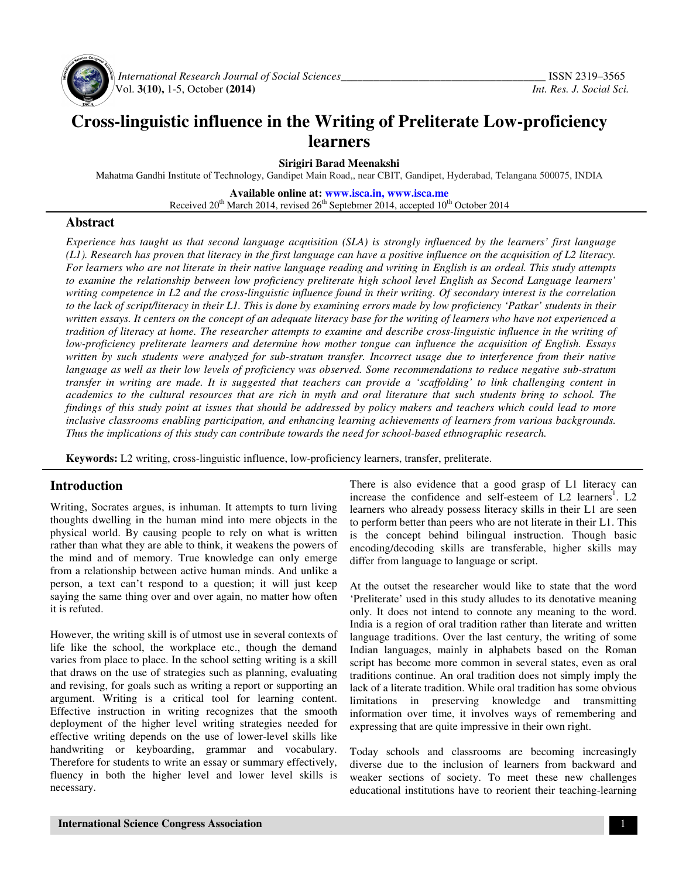

 *International Research Journal of Social Sciences\_\_\_\_\_\_\_\_\_\_\_\_\_\_\_\_\_\_\_\_\_\_\_\_\_\_\_\_\_\_\_\_\_\_\_\_\_* ISSN 2319–3565 Vol. **3(10),** 1-5, October **(2014)** *Int. Res. J. Social Sci.*

# **Cross-linguistic influence in the Writing of Preliterate Low-proficiency learners**

**Sirigiri Barad Meenakshi** 

Mahatma Gandhi Institute of Technology, Gandipet Main Road,, near CBIT, Gandipet, Hyderabad, Telangana 500075, INDIA

**Available online at: www.isca.in, www.isca.me**

Received  $20^{th}$  March 2014, revised  $26^{th}$  Septebmer 2014, accepted  $10^{th}$  October 2014

#### **Abstract**

*Experience has taught us that second language acquisition (SLA) is strongly influenced by the learners' first language (L1). Research has proven that literacy in the first language can have a positive influence on the acquisition of L2 literacy. For learners who are not literate in their native language reading and writing in English is an ordeal. This study attempts to examine the relationship between low proficiency preliterate high school level English as Second Language learners' writing competence in L2 and the cross-linguistic influence found in their writing. Of secondary interest is the correlation to the lack of script/literacy in their L1. This is done by examining errors made by low proficiency 'Patkar' students in their written essays. It centers on the concept of an adequate literacy base for the writing of learners who have not experienced a tradition of literacy at home. The researcher attempts to examine and describe cross-linguistic influence in the writing of low-proficiency preliterate learners and determine how mother tongue can influence the acquisition of English. Essays written by such students were analyzed for sub-stratum transfer. Incorrect usage due to interference from their native language as well as their low levels of proficiency was observed. Some recommendations to reduce negative sub-stratum transfer in writing are made. It is suggested that teachers can provide a 'scaffolding' to link challenging content in academics to the cultural resources that are rich in myth and oral literature that such students bring to school. The findings of this study point at issues that should be addressed by policy makers and teachers which could lead to more inclusive classrooms enabling participation, and enhancing learning achievements of learners from various backgrounds. Thus the implications of this study can contribute towards the need for school-based ethnographic research.* 

**Keywords:** L2 writing, cross-linguistic influence, low-proficiency learners, transfer, preliterate.

## **Introduction**

Writing, Socrates argues, is inhuman. It attempts to turn living thoughts dwelling in the human mind into mere objects in the physical world. By causing people to rely on what is written rather than what they are able to think, it weakens the powers of the mind and of memory. True knowledge can only emerge from a relationship between active human minds. And unlike a person, a text can't respond to a question; it will just keep saying the same thing over and over again, no matter how often it is refuted.

However, the writing skill is of utmost use in several contexts of life like the school, the workplace etc., though the demand varies from place to place. In the school setting writing is a skill that draws on the use of strategies such as planning, evaluating and revising, for goals such as writing a report or supporting an argument. Writing is a critical tool for learning content. Effective instruction in writing recognizes that the smooth deployment of the higher level writing strategies needed for effective writing depends on the use of lower-level skills like handwriting or keyboarding, grammar and vocabulary. Therefore for students to write an essay or summary effectively, fluency in both the higher level and lower level skills is necessary.

There is also evidence that a good grasp of L1 literacy can increase the confidence and self-esteem of  $L2$  learners<sup>1</sup>.  $L2$ learners who already possess literacy skills in their L1 are seen to perform better than peers who are not literate in their L1. This is the concept behind bilingual instruction. Though basic encoding/decoding skills are transferable, higher skills may differ from language to language or script.

At the outset the researcher would like to state that the word 'Preliterate' used in this study alludes to its denotative meaning only. It does not intend to connote any meaning to the word. India is a region of oral tradition rather than literate and written language traditions. Over the last century, the writing of some Indian languages, mainly in alphabets based on the Roman script has become more common in several states, even as oral traditions continue. An oral tradition does not simply imply the lack of a literate tradition. While oral tradition has some obvious limitations in preserving knowledge and transmitting information over time, it involves ways of remembering and expressing that are quite impressive in their own right.

Today schools and classrooms are becoming increasingly diverse due to the inclusion of learners from backward and weaker sections of society. To meet these new challenges educational institutions have to reorient their teaching-learning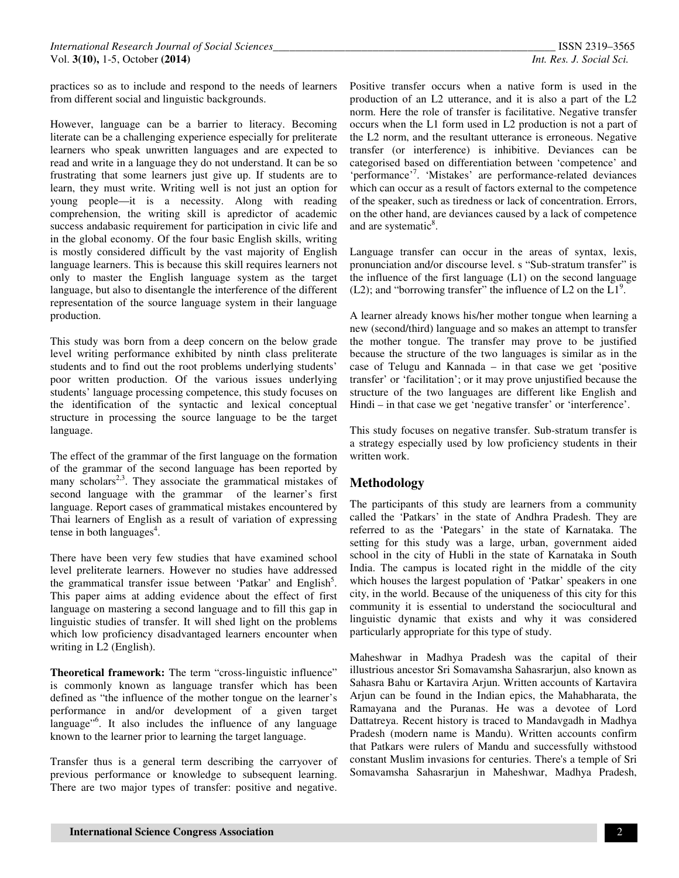practices so as to include and respond to the needs of learners from different social and linguistic backgrounds.

However, language can be a barrier to literacy. Becoming literate can be a challenging experience especially for preliterate learners who speak unwritten languages and are expected to read and write in a language they do not understand. It can be so frustrating that some learners just give up. If students are to learn, they must write. Writing well is not just an option for young people—it is a necessity. Along with reading comprehension, the writing skill is apredictor of academic success andabasic requirement for participation in civic life and in the global economy. Of the four basic English skills, writing is mostly considered difficult by the vast majority of English language learners. This is because this skill requires learners not only to master the English language system as the target language, but also to disentangle the interference of the different representation of the source language system in their language production.

This study was born from a deep concern on the below grade level writing performance exhibited by ninth class preliterate students and to find out the root problems underlying students' poor written production. Of the various issues underlying students' language processing competence, this study focuses on the identification of the syntactic and lexical conceptual structure in processing the source language to be the target language.

The effect of the grammar of the first language on the formation of the grammar of the second language has been reported by many scholars<sup>2,3</sup>. They associate the grammatical mistakes of second language with the grammar of the learner's first language. Report cases of grammatical mistakes encountered by Thai learners of English as a result of variation of expressing tense in both languages $4$ .

There have been very few studies that have examined school level preliterate learners. However no studies have addressed the grammatical transfer issue between 'Patkar' and English<sup>5</sup>. This paper aims at adding evidence about the effect of first language on mastering a second language and to fill this gap in linguistic studies of transfer. It will shed light on the problems which low proficiency disadvantaged learners encounter when writing in L2 (English).

**Theoretical framework:** The term "cross-linguistic influence" is commonly known as language transfer which has been defined as "the influence of the mother tongue on the learner's performance in and/or development of a given target language"<sup>6</sup>. It also includes the influence of any language known to the learner prior to learning the target language.

Transfer thus is a general term describing the carryover of previous performance or knowledge to subsequent learning. There are two major types of transfer: positive and negative.

Positive transfer occurs when a native form is used in the production of an L2 utterance, and it is also a part of the L2 norm. Here the role of transfer is facilitative. Negative transfer occurs when the L1 form used in L2 production is not a part of the L2 norm, and the resultant utterance is erroneous. Negative transfer (or interference) is inhibitive. Deviances can be categorised based on differentiation between 'competence' and 'performance'<sup>7</sup>. 'Mistakes' are performance-related deviances which can occur as a result of factors external to the competence of the speaker, such as tiredness or lack of concentration. Errors, on the other hand, are deviances caused by a lack of competence and are systematic<sup>8</sup>.

Language transfer can occur in the areas of syntax, lexis, pronunciation and/or discourse level. s "Sub-stratum transfer" is the influence of the first language  $(L1)$  on the second language (L2); and "borrowing transfer" the influence of L2 on the  $\text{L1}^9$ .

A learner already knows his/her mother tongue when learning a new (second/third) language and so makes an attempt to transfer the mother tongue. The transfer may prove to be justified because the structure of the two languages is similar as in the case of Telugu and Kannada – in that case we get 'positive transfer' or 'facilitation'; or it may prove unjustified because the structure of the two languages are different like English and Hindi – in that case we get 'negative transfer' or 'interference'.

This study focuses on negative transfer. Sub-stratum transfer is a strategy especially used by low proficiency students in their written work.

# **Methodology**

The participants of this study are learners from a community called the 'Patkars' in the state of Andhra Pradesh. They are referred to as the 'Pategars' in the state of Karnataka. The setting for this study was a large, urban, government aided school in the city of Hubli in the state of Karnataka in South India. The campus is located right in the middle of the city which houses the largest population of 'Patkar' speakers in one city, in the world. Because of the uniqueness of this city for this community it is essential to understand the sociocultural and linguistic dynamic that exists and why it was considered particularly appropriate for this type of study.

Maheshwar in Madhya Pradesh was the capital of their illustrious ancestor Sri Somavamsha Sahasrarjun, also known as Sahasra Bahu or Kartavira Arjun. Written accounts of Kartavira Arjun can be found in the Indian epics, the Mahabharata, the Ramayana and the Puranas. He was a devotee of Lord Dattatreya. Recent history is traced to Mandavgadh in Madhya Pradesh (modern name is Mandu). Written accounts confirm that Patkars were rulers of Mandu and successfully withstood constant Muslim invasions for centuries. There's a temple of Sri Somavamsha Sahasrarjun in Maheshwar, Madhya Pradesh,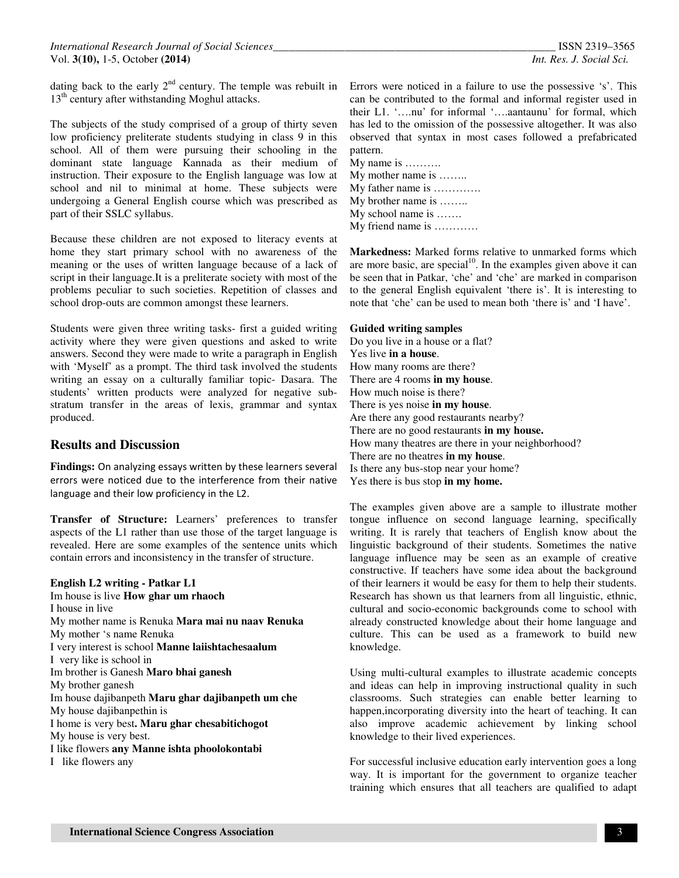dating back to the early  $2<sup>nd</sup>$  century. The temple was rebuilt in 13<sup>th</sup> century after withstanding Moghul attacks.

The subjects of the study comprised of a group of thirty seven low proficiency preliterate students studying in class 9 in this school. All of them were pursuing their schooling in the dominant state language Kannada as their medium of instruction. Their exposure to the English language was low at school and nil to minimal at home. These subjects were undergoing a General English course which was prescribed as part of their SSLC syllabus.

Because these children are not exposed to literacy events at home they start primary school with no awareness of the meaning or the uses of written language because of a lack of script in their language.It is a preliterate society with most of the problems peculiar to such societies. Repetition of classes and school drop-outs are common amongst these learners.

Students were given three writing tasks- first a guided writing activity where they were given questions and asked to write answers. Second they were made to write a paragraph in English with 'Myself' as a prompt. The third task involved the students writing an essay on a culturally familiar topic- Dasara. The students' written products were analyzed for negative substratum transfer in the areas of lexis, grammar and syntax produced.

#### **Results and Discussion**

**Findings:** On analyzing essays written by these learners several errors were noticed due to the interference from their native language and their low proficiency in the L2.

**Transfer of Structure:** Learners' preferences to transfer aspects of the L1 rather than use those of the target language is revealed. Here are some examples of the sentence units which contain errors and inconsistency in the transfer of structure.

#### **English L2 writing - Patkar L1**

Im house is live **How ghar um rhaoch**  I house in live My mother name is Renuka **Mara mai nu naav Renuka**  My mother 's name Renuka I very interest is school **Manne laiishtachesaalum**  I very like is school in Im brother is Ganesh **Maro bhai ganesh**  My brother ganesh Im house dajibanpeth **Maru ghar dajibanpeth um che** My house dajibanpethin is I home is very best**. Maru ghar chesabitichogot** My house is very best. I like flowers **any Manne ishta phoolokontabi**  I like flowers any

Errors were noticed in a failure to use the possessive 's'. This can be contributed to the formal and informal register used in their L1. '….nu' for informal '….aantaunu' for formal, which has led to the omission of the possessive altogether. It was also observed that syntax in most cases followed a prefabricated pattern.

My name is ………. My mother name is …….. My father name is …………. My brother name is …….. My school name is ……. My friend name is …………

**Markedness:** Marked forms relative to unmarked forms which are more basic, are special<sup>10</sup>. In the examples given above it can be seen that in Patkar, 'che' and 'che' are marked in comparison to the general English equivalent 'there is'. It is interesting to note that 'che' can be used to mean both 'there is' and 'I have'.

#### **Guided writing samples**

Do you live in a house or a flat? Yes live **in a house**. How many rooms are there? There are 4 rooms **in my house**. How much noise is there? There is yes noise **in my house**. Are there any good restaurants nearby? There are no good restaurants **in my house.**  How many theatres are there in your neighborhood? There are no theatres **in my house**. Is there any bus-stop near your home? Yes there is bus stop **in my home.** 

The examples given above are a sample to illustrate mother tongue influence on second language learning, specifically writing. It is rarely that teachers of English know about the linguistic background of their students. Sometimes the native language influence may be seen as an example of creative constructive. If teachers have some idea about the background of their learners it would be easy for them to help their students. Research has shown us that learners from all linguistic, ethnic, cultural and socio-economic backgrounds come to school with already constructed knowledge about their home language and culture. This can be used as a framework to build new knowledge.

Using multi-cultural examples to illustrate academic concepts and ideas can help in improving instructional quality in such classrooms. Such strategies can enable better learning to happen,incorporating diversity into the heart of teaching. It can also improve academic achievement by linking school knowledge to their lived experiences.

For successful inclusive education early intervention goes a long way. It is important for the government to organize teacher training which ensures that all teachers are qualified to adapt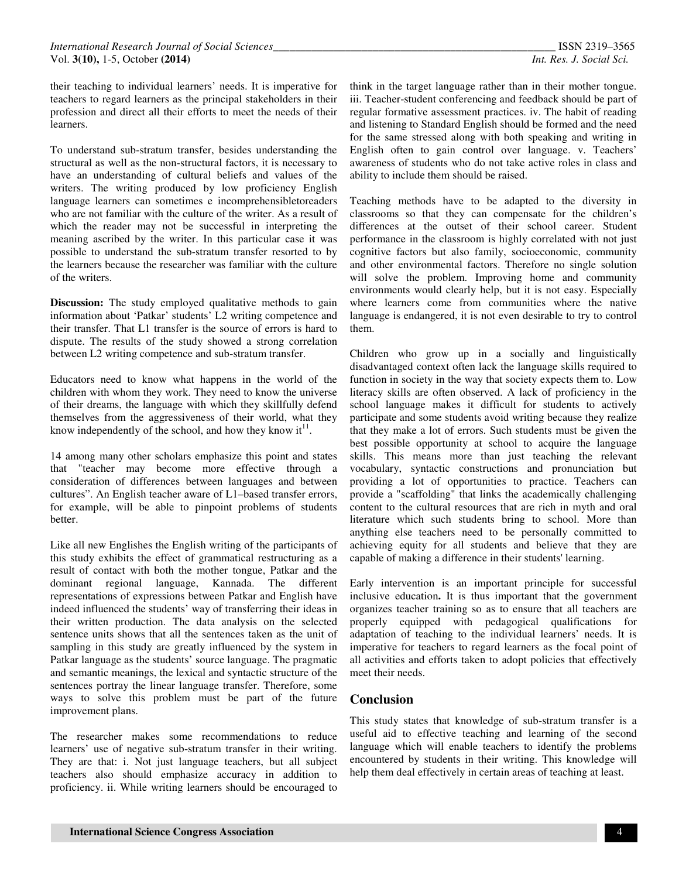their teaching to individual learners' needs. It is imperative for teachers to regard learners as the principal stakeholders in their profession and direct all their efforts to meet the needs of their learners.

To understand sub-stratum transfer, besides understanding the structural as well as the non-structural factors, it is necessary to have an understanding of cultural beliefs and values of the writers. The writing produced by low proficiency English language learners can sometimes e incomprehensibletoreaders who are not familiar with the culture of the writer. As a result of which the reader may not be successful in interpreting the meaning ascribed by the writer. In this particular case it was possible to understand the sub-stratum transfer resorted to by the learners because the researcher was familiar with the culture of the writers.

**Discussion:** The study employed qualitative methods to gain information about 'Patkar' students' L2 writing competence and their transfer. That L1 transfer is the source of errors is hard to dispute. The results of the study showed a strong correlation between L2 writing competence and sub-stratum transfer.

Educators need to know what happens in the world of the children with whom they work. They need to know the universe of their dreams, the language with which they skillfully defend themselves from the aggressiveness of their world, what they know independently of the school, and how they know  $it<sup>11</sup>$ .

14 among many other scholars emphasize this point and states that "teacher may become more effective through a consideration of differences between languages and between cultures". An English teacher aware of L1–based transfer errors, for example, will be able to pinpoint problems of students better.

Like all new Englishes the English writing of the participants of this study exhibits the effect of grammatical restructuring as a result of contact with both the mother tongue, Patkar and the dominant regional language, Kannada. The different representations of expressions between Patkar and English have indeed influenced the students' way of transferring their ideas in their written production. The data analysis on the selected sentence units shows that all the sentences taken as the unit of sampling in this study are greatly influenced by the system in Patkar language as the students' source language. The pragmatic and semantic meanings, the lexical and syntactic structure of the sentences portray the linear language transfer. Therefore, some ways to solve this problem must be part of the future improvement plans.

The researcher makes some recommendations to reduce learners' use of negative sub-stratum transfer in their writing. They are that: i. Not just language teachers, but all subject teachers also should emphasize accuracy in addition to proficiency. ii. While writing learners should be encouraged to

think in the target language rather than in their mother tongue. iii. Teacher-student conferencing and feedback should be part of regular formative assessment practices. iv. The habit of reading and listening to Standard English should be formed and the need for the same stressed along with both speaking and writing in English often to gain control over language. v. Teachers' awareness of students who do not take active roles in class and ability to include them should be raised.

Teaching methods have to be adapted to the diversity in classrooms so that they can compensate for the children's differences at the outset of their school career. Student performance in the classroom is highly correlated with not just cognitive factors but also family, socioeconomic, community and other environmental factors. Therefore no single solution will solve the problem. Improving home and community environments would clearly help, but it is not easy. Especially where learners come from communities where the native language is endangered, it is not even desirable to try to control them.

Children who grow up in a socially and linguistically disadvantaged context often lack the language skills required to function in society in the way that society expects them to. Low literacy skills are often observed. A lack of proficiency in the school language makes it difficult for students to actively participate and some students avoid writing because they realize that they make a lot of errors. Such students must be given the best possible opportunity at school to acquire the language skills. This means more than just teaching the relevant vocabulary, syntactic constructions and pronunciation but providing a lot of opportunities to practice. Teachers can provide a "scaffolding" that links the academically challenging content to the cultural resources that are rich in myth and oral literature which such students bring to school. More than anything else teachers need to be personally committed to achieving equity for all students and believe that they are capable of making a difference in their students' learning.

Early intervention is an important principle for successful inclusive education**.** It is thus important that the government organizes teacher training so as to ensure that all teachers are properly equipped with pedagogical qualifications for adaptation of teaching to the individual learners' needs. It is imperative for teachers to regard learners as the focal point of all activities and efforts taken to adopt policies that effectively meet their needs.

## **Conclusion**

This study states that knowledge of sub-stratum transfer is a useful aid to effective teaching and learning of the second language which will enable teachers to identify the problems encountered by students in their writing. This knowledge will help them deal effectively in certain areas of teaching at least.